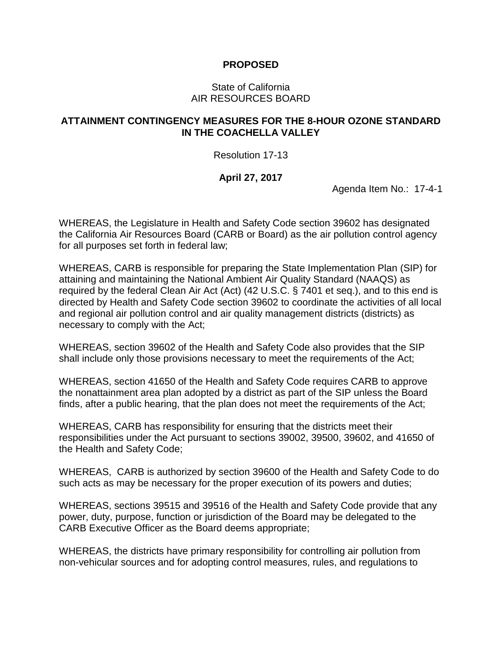## **PROPOSED**

## State of California AIR RESOURCES BOARD

## **ATTAINMENT CONTINGENCY MEASURES FOR THE 8-HOUR OZONE STANDARD IN THE COACHELLA VALLEY**

Resolution 17-13

## **April 27, 2017**

Agenda Item No.: 17-4-1

WHEREAS, the Legislature in Health and Safety Code section 39602 has designated the California Air Resources Board (CARB or Board) as the air pollution control agency for all purposes set forth in federal law;

WHEREAS, CARB is responsible for preparing the State Implementation Plan (SIP) for attaining and maintaining the National Ambient Air Quality Standard (NAAQS) as required by the federal Clean Air Act (Act) (42 U.S.C. § 7401 et seq.), and to this end is directed by Health and Safety Code section 39602 to coordinate the activities of all local and regional air pollution control and air quality management districts (districts) as necessary to comply with the Act;

WHEREAS, section 39602 of the Health and Safety Code also provides that the SIP shall include only those provisions necessary to meet the requirements of the Act;

WHEREAS, section 41650 of the Health and Safety Code requires CARB to approve the nonattainment area plan adopted by a district as part of the SIP unless the Board finds, after a public hearing, that the plan does not meet the requirements of the Act;

WHEREAS, CARB has responsibility for ensuring that the districts meet their responsibilities under the Act pursuant to sections 39002, 39500, 39602, and 41650 of the Health and Safety Code;

WHEREAS, CARB is authorized by section 39600 of the Health and Safety Code to do such acts as may be necessary for the proper execution of its powers and duties;

WHEREAS, sections 39515 and 39516 of the Health and Safety Code provide that any power, duty, purpose, function or jurisdiction of the Board may be delegated to the CARB Executive Officer as the Board deems appropriate;

WHEREAS, the districts have primary responsibility for controlling air pollution from non-vehicular sources and for adopting control measures, rules, and regulations to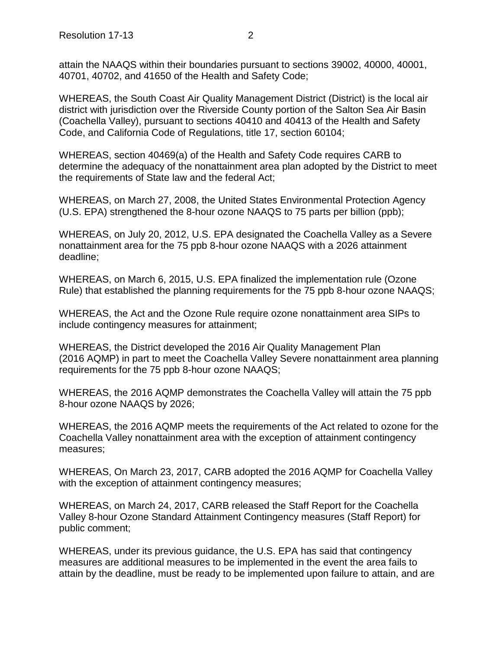attain the NAAQS within their boundaries pursuant to sections 39002, 40000, 40001, 40701, 40702, and 41650 of the Health and Safety Code;

WHEREAS, the South Coast Air Quality Management District (District) is the local air district with jurisdiction over the Riverside County portion of the Salton Sea Air Basin (Coachella Valley), pursuant to sections 40410 and 40413 of the Health and Safety Code, and California Code of Regulations, title 17, section 60104;

WHEREAS, section 40469(a) of the Health and Safety Code requires CARB to determine the adequacy of the nonattainment area plan adopted by the District to meet the requirements of State law and the federal Act;

WHEREAS, on March 27, 2008, the United States Environmental Protection Agency (U.S. EPA) strengthened the 8-hour ozone NAAQS to 75 parts per billion (ppb);

WHEREAS, on July 20, 2012, U.S. EPA designated the Coachella Valley as a Severe nonattainment area for the 75 ppb 8-hour ozone NAAQS with a 2026 attainment deadline;

WHEREAS, on March 6, 2015, U.S. EPA finalized the implementation rule (Ozone Rule) that established the planning requirements for the 75 ppb 8-hour ozone NAAQS;

WHEREAS, the Act and the Ozone Rule require ozone nonattainment area SIPs to include contingency measures for attainment;

WHEREAS, the District developed the 2016 Air Quality Management Plan (2016 AQMP) in part to meet the Coachella Valley Severe nonattainment area planning requirements for the 75 ppb 8-hour ozone NAAQS;

WHEREAS, the 2016 AQMP demonstrates the Coachella Valley will attain the 75 ppb 8-hour ozone NAAQS by 2026;

WHEREAS, the 2016 AQMP meets the requirements of the Act related to ozone for the Coachella Valley nonattainment area with the exception of attainment contingency measures;

WHEREAS, On March 23, 2017, CARB adopted the 2016 AQMP for Coachella Valley with the exception of attainment contingency measures;

WHEREAS, on March 24, 2017, CARB released the Staff Report for the Coachella Valley 8-hour Ozone Standard Attainment Contingency measures (Staff Report) for public comment;

WHEREAS, under its previous guidance, the U.S. EPA has said that contingency measures are additional measures to be implemented in the event the area fails to attain by the deadline, must be ready to be implemented upon failure to attain, and are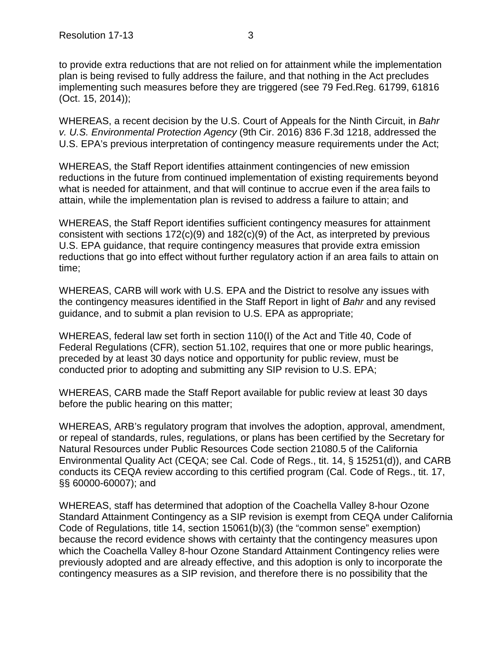to provide extra reductions that are not relied on for attainment while the implementation plan is being revised to fully address the failure, and that nothing in the Act precludes implementing such measures before they are triggered (see 79 Fed.Reg. 61799, 61816 (Oct. 15, 2014));

WHEREAS, a recent decision by the U.S. Court of Appeals for the Ninth Circuit, in *Bahr v. U.S. Environmental Protection Agency* (9th Cir. 2016) 836 F.3d 1218, addressed the U.S. EPA's previous interpretation of contingency measure requirements under the Act;

WHEREAS, the Staff Report identifies attainment contingencies of new emission reductions in the future from continued implementation of existing requirements beyond what is needed for attainment, and that will continue to accrue even if the area fails to attain, while the implementation plan is revised to address a failure to attain; and

WHEREAS, the Staff Report identifies sufficient contingency measures for attainment consistent with sections 172(c)(9) and 182(c)(9) of the Act, as interpreted by previous U.S. EPA guidance, that require contingency measures that provide extra emission reductions that go into effect without further regulatory action if an area fails to attain on time;

WHEREAS, CARB will work with U.S. EPA and the District to resolve any issues with the contingency measures identified in the Staff Report in light of *Bahr* and any revised guidance, and to submit a plan revision to U.S. EPA as appropriate;

WHEREAS, federal law set forth in section 110(I) of the Act and Title 40, Code of Federal Regulations (CFR), section 51.102, requires that one or more public hearings, preceded by at least 30 days notice and opportunity for public review, must be conducted prior to adopting and submitting any SIP revision to U.S. EPA;

WHEREAS, CARB made the Staff Report available for public review at least 30 days before the public hearing on this matter;

WHEREAS, ARB's regulatory program that involves the adoption, approval, amendment, or repeal of standards, rules, regulations, or plans has been certified by the Secretary for Natural Resources under Public Resources Code section 21080.5 of the California Environmental Quality Act (CEQA; see Cal. Code of Regs., tit. 14, § 15251(d)), and CARB conducts its CEQA review according to this certified program (Cal. Code of Regs., tit. 17, §§ 60000-60007); and

WHEREAS, staff has determined that adoption of the Coachella Valley 8-hour Ozone Standard Attainment Contingency as a SIP revision is exempt from CEQA under California Code of Regulations, title 14, section 15061(b)(3) (the "common sense" exemption) because the record evidence shows with certainty that the contingency measures upon which the Coachella Valley 8-hour Ozone Standard Attainment Contingency relies were previously adopted and are already effective, and this adoption is only to incorporate the contingency measures as a SIP revision, and therefore there is no possibility that the